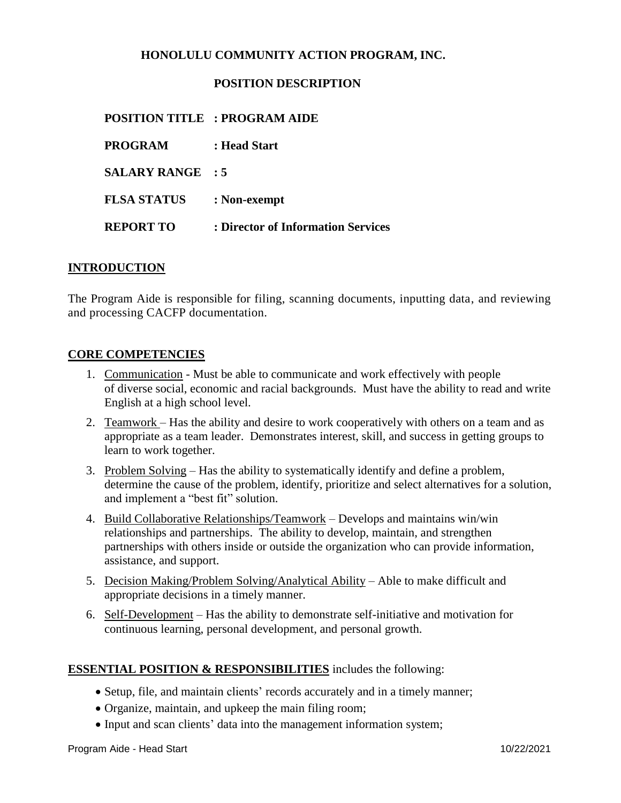## **HONOLULU COMMUNITY ACTION PROGRAM, INC.**

### **POSITION DESCRIPTION**

### **POSITION TITLE : PROGRAM AIDE**

**PROGRAM : Head Start SALARY RANGE : 5 FLSA STATUS : Non-exempt REPORT TO : Director of Information Services**

#### **INTRODUCTION**

The Program Aide is responsible for filing, scanning documents, inputting data, and reviewing and processing CACFP documentation.

#### **CORE COMPETENCIES**

- 1. Communication Must be able to communicate and work effectively with people of diverse social, economic and racial backgrounds. Must have the ability to read and write English at a high school level.
- 2. Teamwork Has the ability and desire to work cooperatively with others on a team and as appropriate as a team leader. Demonstrates interest, skill, and success in getting groups to learn to work together.
- 3. Problem Solving Has the ability to systematically identify and define a problem, determine the cause of the problem, identify, prioritize and select alternatives for a solution, and implement a "best fit" solution.
- 4. Build Collaborative Relationships/Teamwork Develops and maintains win/win relationships and partnerships. The ability to develop, maintain, and strengthen partnerships with others inside or outside the organization who can provide information, assistance, and support.
- 5. Decision Making/Problem Solving/Analytical Ability Able to make difficult and appropriate decisions in a timely manner.
- 6. Self-Development Has the ability to demonstrate self-initiative and motivation for continuous learning, personal development, and personal growth.

#### **ESSENTIAL POSITION & RESPONSIBILITIES** includes the following:

- Setup, file, and maintain clients' records accurately and in a timely manner;
- Organize, maintain, and upkeep the main filing room;
- Input and scan clients' data into the management information system;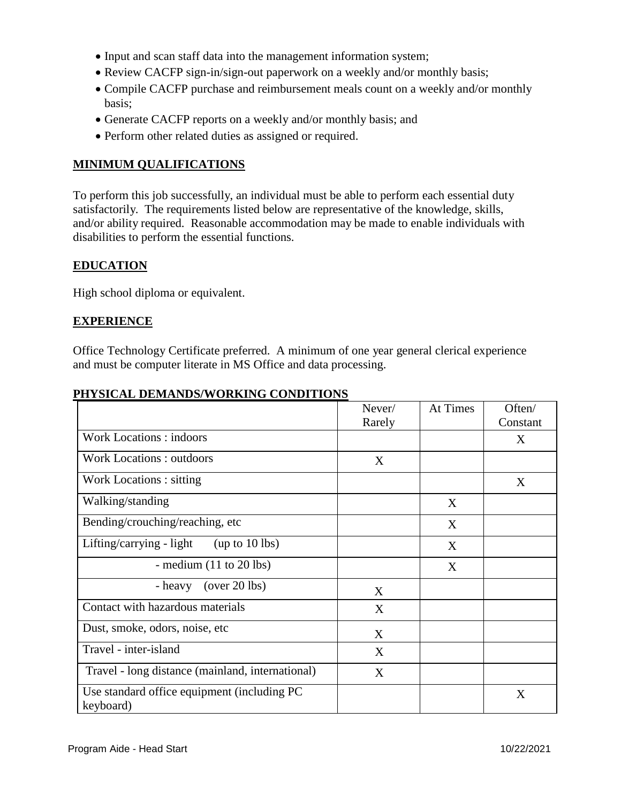- Input and scan staff data into the management information system;
- Review CACFP sign-in/sign-out paperwork on a weekly and/or monthly basis;
- Compile CACFP purchase and reimbursement meals count on a weekly and/or monthly basis;
- Generate CACFP reports on a weekly and/or monthly basis; and
- Perform other related duties as assigned or required.

# **MINIMUM QUALIFICATIONS**

To perform this job successfully, an individual must be able to perform each essential duty satisfactorily. The requirements listed below are representative of the knowledge, skills, and/or ability required. Reasonable accommodation may be made to enable individuals with disabilities to perform the essential functions.

# **EDUCATION**

High school diploma or equivalent.

## **EXPERIENCE**

Office Technology Certificate preferred. A minimum of one year general clerical experience and must be computer literate in MS Office and data processing.

|                                                           | Never/<br>Rarely | At Times | Often/<br>Constant |
|-----------------------------------------------------------|------------------|----------|--------------------|
| <b>Work Locations: indoors</b>                            |                  |          | X                  |
| <b>Work Locations: outdoors</b>                           | X                |          |                    |
| Work Locations : sitting                                  |                  |          | X                  |
| Walking/standing                                          |                  | X        |                    |
| Bending/crouching/reaching, etc                           |                  | X        |                    |
| Lifting/carrying - light<br>(up to $10$ lbs)              |                  | X        |                    |
| - medium $(11 \text{ to } 20 \text{ lbs})$                |                  | X        |                    |
| $(over 20$ lbs)<br>- heavy                                | X                |          |                    |
| Contact with hazardous materials                          | X                |          |                    |
| Dust, smoke, odors, noise, etc.                           | X                |          |                    |
| Travel - inter-island                                     | X                |          |                    |
| Travel - long distance (mainland, international)          | X                |          |                    |
| Use standard office equipment (including PC)<br>keyboard) |                  |          | X                  |

## **PHYSICAL DEMANDS/WORKING CONDITIONS**